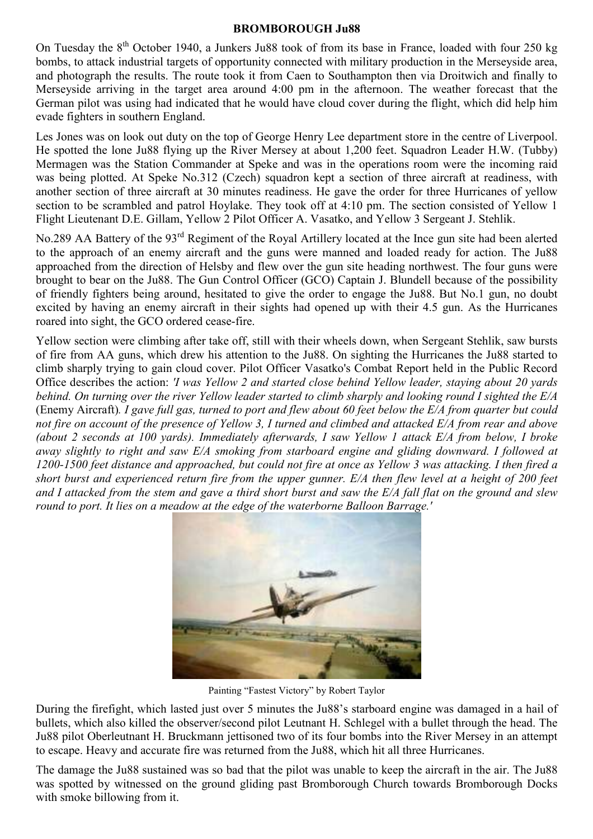#### BROMBOROUGH Ju88

On Tuesday the 8<sup>th</sup> October 1940, a Junkers Ju88 took of from its base in France, loaded with four 250 kg bombs, to attack industrial targets of opportunity connected with military production in the Merseyside area, and photograph the results. The route took it from Caen to Southampton then via Droitwich and finally to Merseyside arriving in the target area around 4:00 pm in the afternoon. The weather forecast that the German pilot was using had indicated that he would have cloud cover during the flight, which did help him evade fighters in southern England.

Les Jones was on look out duty on the top of George Henry Lee department store in the centre of Liverpool. He spotted the lone Ju88 flying up the River Mersey at about 1,200 feet. Squadron Leader H.W. (Tubby) Mermagen was the Station Commander at Speke and was in the operations room were the incoming raid was being plotted. At Speke No.312 (Czech) squadron kept a section of three aircraft at readiness, with another section of three aircraft at 30 minutes readiness. He gave the order for three Hurricanes of yellow section to be scrambled and patrol Hoylake. They took off at 4:10 pm. The section consisted of Yellow 1 Flight Lieutenant D.E. Gillam, Yellow 2 Pilot Officer A. Vasatko, and Yellow 3 Sergeant J. Stehlik.

No.289 AA Battery of the 93rd Regiment of the Royal Artillery located at the Ince gun site had been alerted to the approach of an enemy aircraft and the guns were manned and loaded ready for action. The Ju88 approached from the direction of Helsby and flew over the gun site heading northwest. The four guns were brought to bear on the Ju88. The Gun Control Officer (GCO) Captain J. Blundell because of the possibility of friendly fighters being around, hesitated to give the order to engage the Ju88. But No.1 gun, no doubt excited by having an enemy aircraft in their sights had opened up with their 4.5 gun. As the Hurricanes roared into sight, the GCO ordered cease-fire.

Yellow section were climbing after take off, still with their wheels down, when Sergeant Stehlik, saw bursts of fire from AA guns, which drew his attention to the Ju88. On sighting the Hurricanes the Ju88 started to climb sharply trying to gain cloud cover. Pilot Officer Vasatko's Combat Report held in the Public Record Office describes the action: 'I was Yellow 2 and started close behind Yellow leader, staying about 20 yards behind. On turning over the river Yellow leader started to climb sharply and looking round I sighted the E/A (Enemy Aircraft). I gave full gas, turned to port and flew about 60 feet below the E/A from quarter but could not fire on account of the presence of Yellow 3, I turned and climbed and attacked E/A from rear and above (about 2 seconds at 100 yards). Immediately afterwards, I saw Yellow 1 attack E/A from below, I broke away slightly to right and saw E/A smoking from starboard engine and gliding downward. I followed at 1200-1500 feet distance and approached, but could not fire at once as Yellow 3 was attacking. I then fired a short burst and experienced return fire from the upper gunner. E/A then flew level at a height of 200 feet and I attacked from the stem and gave a third short burst and saw the E/A fall flat on the ground and slew round to port. It lies on a meadow at the edge of the waterborne Balloon Barrage.'



Painting "Fastest Victory" by Robert Taylor

During the firefight, which lasted just over 5 minutes the Ju88's starboard engine was damaged in a hail of bullets, which also killed the observer/second pilot Leutnant H. Schlegel with a bullet through the head. The Ju88 pilot Oberleutnant H. Bruckmann jettisoned two of its four bombs into the River Mersey in an attempt to escape. Heavy and accurate fire was returned from the Ju88, which hit all three Hurricanes.

The damage the Ju88 sustained was so bad that the pilot was unable to keep the aircraft in the air. The Ju88 was spotted by witnessed on the ground gliding past Bromborough Church towards Bromborough Docks with smoke billowing from it.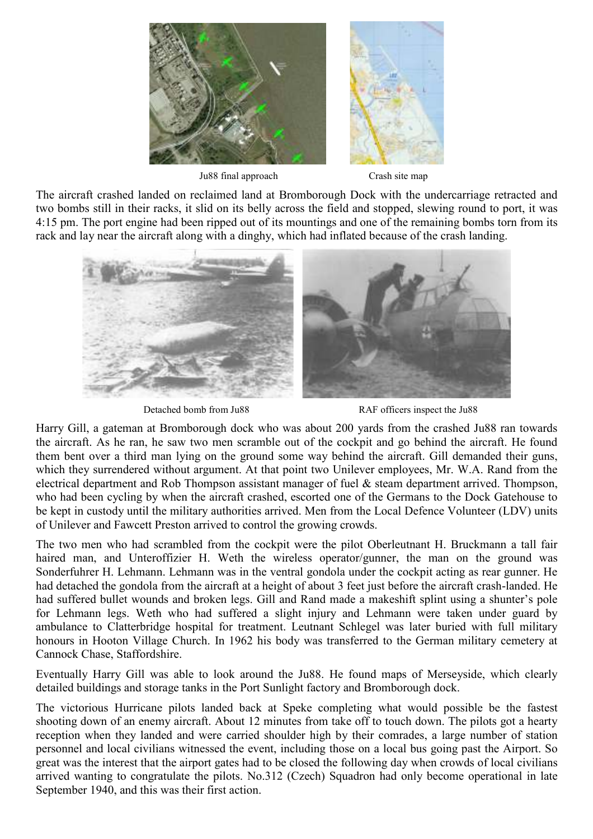

Ju88 final approach Crash site map

The aircraft crashed landed on reclaimed land at Bromborough Dock with the undercarriage retracted and two bombs still in their racks, it slid on its belly across the field and stopped, slewing round to port, it was 4:15 pm. The port engine had been ripped out of its mountings and one of the remaining bombs torn from its rack and lay near the aircraft along with a dinghy, which had inflated because of the crash landing.



Detached bomb from Ju88 RAF officers inspect the Ju88

Harry Gill, a gateman at Bromborough dock who was about 200 yards from the crashed Ju88 ran towards the aircraft. As he ran, he saw two men scramble out of the cockpit and go behind the aircraft. He found them bent over a third man lying on the ground some way behind the aircraft. Gill demanded their guns, which they surrendered without argument. At that point two Unilever employees, Mr. W.A. Rand from the electrical department and Rob Thompson assistant manager of fuel & steam department arrived. Thompson, who had been cycling by when the aircraft crashed, escorted one of the Germans to the Dock Gatehouse to be kept in custody until the military authorities arrived. Men from the Local Defence Volunteer (LDV) units of Unilever and Fawcett Preston arrived to control the growing crowds.

The two men who had scrambled from the cockpit were the pilot Oberleutnant H. Bruckmann a tall fair haired man, and Unteroffizier H. Weth the wireless operator/gunner, the man on the ground was Sonderfuhrer H. Lehmann. Lehmann was in the ventral gondola under the cockpit acting as rear gunner. He had detached the gondola from the aircraft at a height of about 3 feet just before the aircraft crash-landed. He had suffered bullet wounds and broken legs. Gill and Rand made a makeshift splint using a shunter's pole for Lehmann legs. Weth who had suffered a slight injury and Lehmann were taken under guard by ambulance to Clatterbridge hospital for treatment. Leutnant Schlegel was later buried with full military honours in Hooton Village Church. In 1962 his body was transferred to the German military cemetery at Cannock Chase, Staffordshire.

Eventually Harry Gill was able to look around the Ju88. He found maps of Merseyside, which clearly detailed buildings and storage tanks in the Port Sunlight factory and Bromborough dock.

The victorious Hurricane pilots landed back at Speke completing what would possible be the fastest shooting down of an enemy aircraft. About 12 minutes from take off to touch down. The pilots got a hearty reception when they landed and were carried shoulder high by their comrades, a large number of station personnel and local civilians witnessed the event, including those on a local bus going past the Airport. So great was the interest that the airport gates had to be closed the following day when crowds of local civilians arrived wanting to congratulate the pilots. No.312 (Czech) Squadron had only become operational in late September 1940, and this was their first action.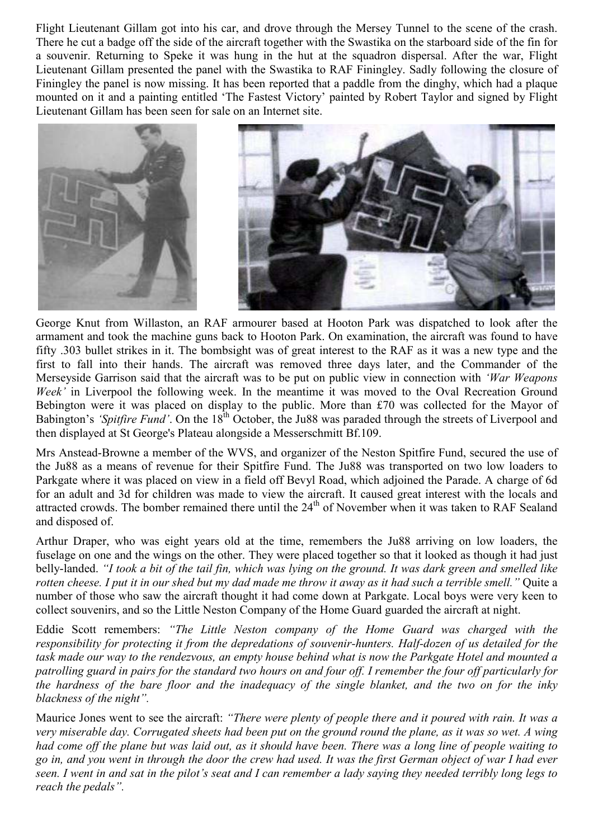Flight Lieutenant Gillam got into his car, and drove through the Mersey Tunnel to the scene of the crash. There he cut a badge off the side of the aircraft together with the Swastika on the starboard side of the fin for a souvenir. Returning to Speke it was hung in the hut at the squadron dispersal. After the war, Flight Lieutenant Gillam presented the panel with the Swastika to RAF Finingley. Sadly following the closure of Finingley the panel is now missing. It has been reported that a paddle from the dinghy, which had a plaque mounted on it and a painting entitled 'The Fastest Victory' painted by Robert Taylor and signed by Flight Lieutenant Gillam has been seen for sale on an Internet site.



George Knut from Willaston, an RAF armourer based at Hooton Park was dispatched to look after the armament and took the machine guns back to Hooton Park. On examination, the aircraft was found to have fifty .303 bullet strikes in it. The bombsight was of great interest to the RAF as it was a new type and the first to fall into their hands. The aircraft was removed three days later, and the Commander of the Merseyside Garrison said that the aircraft was to be put on public view in connection with 'War Weapons' Week' in Liverpool the following week. In the meantime it was moved to the Oval Recreation Ground Bebington were it was placed on display to the public. More than £70 was collected for the Mayor of Babington's 'Spitfire Fund'. On the 18<sup>th</sup> October, the Ju88 was paraded through the streets of Liverpool and then displayed at St George's Plateau alongside a Messerschmitt Bf.109.

Mrs Anstead-Browne a member of the WVS, and organizer of the Neston Spitfire Fund, secured the use of the Ju88 as a means of revenue for their Spitfire Fund. The Ju88 was transported on two low loaders to Parkgate where it was placed on view in a field off Bevyl Road, which adjoined the Parade. A charge of 6d for an adult and 3d for children was made to view the aircraft. It caused great interest with the locals and attracted crowds. The bomber remained there until the 24<sup>th</sup> of November when it was taken to RAF Sealand and disposed of.

Arthur Draper, who was eight years old at the time, remembers the Ju88 arriving on low loaders, the fuselage on one and the wings on the other. They were placed together so that it looked as though it had just belly-landed. "I took a bit of the tail fin, which was lying on the ground. It was dark green and smelled like rotten cheese. I put it in our shed but my dad made me throw it away as it had such a terrible smell." Quite a number of those who saw the aircraft thought it had come down at Parkgate. Local boys were very keen to collect souvenirs, and so the Little Neston Company of the Home Guard guarded the aircraft at night.

Eddie Scott remembers: "The Little Neston company of the Home Guard was charged with the responsibility for protecting it from the depredations of souvenir-hunters. Half-dozen of us detailed for the task made our way to the rendezvous, an empty house behind what is now the Parkgate Hotel and mounted a patrolling guard in pairs for the standard two hours on and four off. I remember the four off particularly for the hardness of the bare floor and the inadequacy of the single blanket, and the two on for the inky blackness of the night".

Maurice Jones went to see the aircraft: "There were plenty of people there and it poured with rain. It was a very miserable day. Corrugated sheets had been put on the ground round the plane, as it was so wet. A wing had come off the plane but was laid out, as it should have been. There was a long line of people waiting to go in, and you went in through the door the crew had used. It was the first German object of war I had ever seen. I went in and sat in the pilot's seat and I can remember a lady saying they needed terribly long legs to reach the pedals".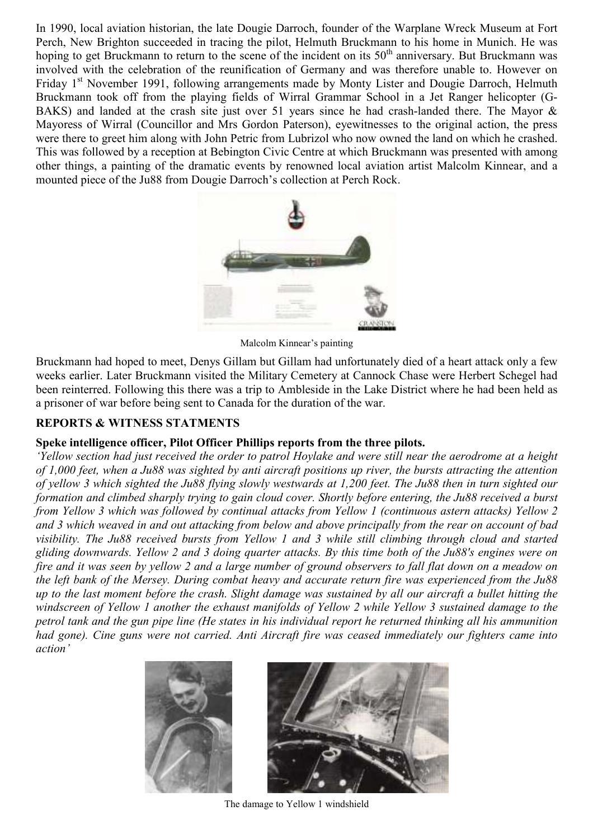In 1990, local aviation historian, the late Dougie Darroch, founder of the Warplane Wreck Museum at Fort Perch, New Brighton succeeded in tracing the pilot, Helmuth Bruckmann to his home in Munich. He was hoping to get Bruckmann to return to the scene of the incident on its  $50<sup>th</sup>$  anniversary. But Bruckmann was involved with the celebration of the reunification of Germany and was therefore unable to. However on Friday 1<sup>st</sup> November 1991, following arrangements made by Monty Lister and Dougie Darroch, Helmuth Bruckmann took off from the playing fields of Wirral Grammar School in a Jet Ranger helicopter (G-BAKS) and landed at the crash site just over 51 years since he had crash-landed there. The Mayor & Mayoress of Wirral (Councillor and Mrs Gordon Paterson), eyewitnesses to the original action, the press were there to greet him along with John Petric from Lubrizol who now owned the land on which he crashed. This was followed by a reception at Bebington Civic Centre at which Bruckmann was presented with among other things, a painting of the dramatic events by renowned local aviation artist Malcolm Kinnear, and a mounted piece of the Ju88 from Dougie Darroch's collection at Perch Rock.



Malcolm Kinnear's painting

Bruckmann had hoped to meet, Denys Gillam but Gillam had unfortunately died of a heart attack only a few weeks earlier. Later Bruckmann visited the Military Cemetery at Cannock Chase were Herbert Schegel had been reinterred. Following this there was a trip to Ambleside in the Lake District where he had been held as a prisoner of war before being sent to Canada for the duration of the war.

# REPORTS & WITNESS STATMENTS

## Speke intelligence officer, Pilot Officer Phillips reports from the three pilots.

'Yellow section had just received the order to patrol Hoylake and were still near the aerodrome at a height of 1,000 feet, when a Ju88 was sighted by anti aircraft positions up river, the bursts attracting the attention of yellow 3 which sighted the Ju88 flying slowly westwards at 1,200 feet. The Ju88 then in turn sighted our formation and climbed sharply trying to gain cloud cover. Shortly before entering, the Ju88 received a burst from Yellow 3 which was followed by continual attacks from Yellow 1 (continuous astern attacks) Yellow 2 and 3 which weaved in and out attacking from below and above principally from the rear on account of bad visibility. The Ju88 received bursts from Yellow 1 and 3 while still climbing through cloud and started gliding downwards. Yellow 2 and 3 doing quarter attacks. By this time both of the Ju88's engines were on fire and it was seen by yellow 2 and a large number of ground observers to fall flat down on a meadow on the left bank of the Mersey. During combat heavy and accurate return fire was experienced from the Ju88 up to the last moment before the crash. Slight damage was sustained by all our aircraft a bullet hitting the windscreen of Yellow 1 another the exhaust manifolds of Yellow 2 while Yellow 3 sustained damage to the petrol tank and the gun pipe line (He states in his individual report he returned thinking all his ammunition had gone). Cine guns were not carried. Anti Aircraft fire was ceased immediately our fighters came into action'





The damage to Yellow 1 windshield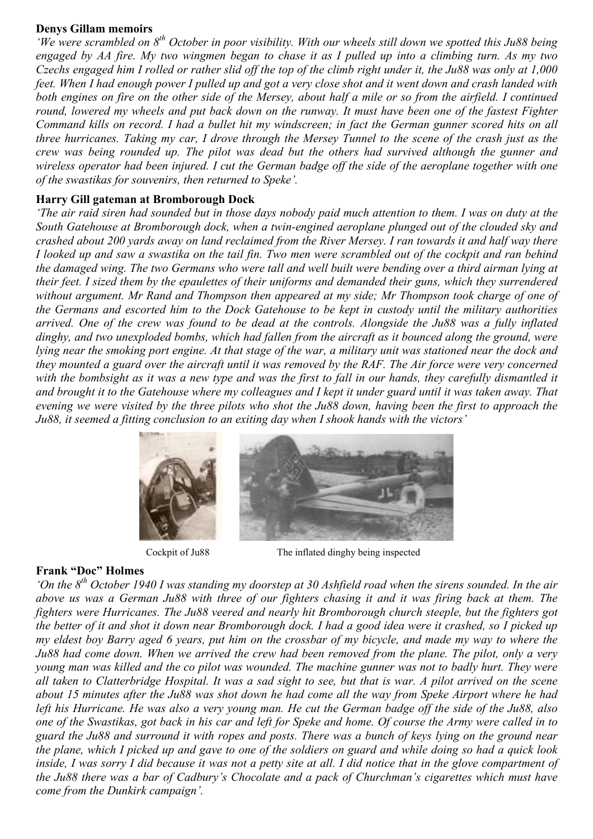#### Denys Gillam memoirs

'We were scrambled on  $8<sup>th</sup>$  October in poor visibility. With our wheels still down we spotted this Ju88 being engaged by AA fire. My two wingmen began to chase it as I pulled up into a climbing turn. As my two Czechs engaged him I rolled or rather slid off the top of the climb right under it, the Ju88 was only at 1,000 feet. When I had enough power I pulled up and got a very close shot and it went down and crash landed with both engines on fire on the other side of the Mersey, about half a mile or so from the airfield. I continued round, lowered my wheels and put back down on the runway. It must have been one of the fastest Fighter Command kills on record. I had a bullet hit my windscreen; in fact the German gunner scored hits on all three hurricanes. Taking my car, I drove through the Mersey Tunnel to the scene of the crash just as the crew was being rounded up. The pilot was dead but the others had survived although the gunner and wireless operator had been injured. I cut the German badge off the side of the aeroplane together with one of the swastikas for souvenirs, then returned to Speke'.

## Harry Gill gateman at Bromborough Dock

'The air raid siren had sounded but in those days nobody paid much attention to them. I was on duty at the South Gatehouse at Bromborough dock, when a twin-engined aeroplane plunged out of the clouded sky and crashed about 200 yards away on land reclaimed from the River Mersey. I ran towards it and half way there I looked up and saw a swastika on the tail fin. Two men were scrambled out of the cockpit and ran behind the damaged wing. The two Germans who were tall and well built were bending over a third airman lying at their feet. I sized them by the epaulettes of their uniforms and demanded their guns, which they surrendered without argument. Mr Rand and Thompson then appeared at my side; Mr Thompson took charge of one of the Germans and escorted him to the Dock Gatehouse to be kept in custody until the military authorities arrived. One of the crew was found to be dead at the controls. Alongside the Ju88 was a fully inflated dinghy, and two unexploded bombs, which had fallen from the aircraft as it bounced along the ground, were lying near the smoking port engine. At that stage of the war, a military unit was stationed near the dock and they mounted a guard over the aircraft until it was removed by the RAF. The Air force were very concerned with the bombsight as it was a new type and was the first to fall in our hands, they carefully dismantled it and brought it to the Gatehouse where my colleagues and I kept it under guard until it was taken away. That evening we were visited by the three pilots who shot the Ju88 down, having been the first to approach the Ju88, it seemed a fitting conclusion to an exiting day when I shook hands with the victors'



Cockpit of Ju88 The inflated dinghy being inspected

## Frank "Doc" Holmes

'On the  $8<sup>th</sup>$  October 1940 I was standing my doorstep at 30 Ashfield road when the sirens sounded. In the air above us was a German Ju88 with three of our fighters chasing it and it was firing back at them. The fighters were Hurricanes. The Ju88 veered and nearly hit Bromborough church steeple, but the fighters got the better of it and shot it down near Bromborough dock. I had a good idea were it crashed, so I picked up my eldest boy Barry aged 6 years, put him on the crossbar of my bicycle, and made my way to where the Ju88 had come down. When we arrived the crew had been removed from the plane. The pilot, only a very young man was killed and the co pilot was wounded. The machine gunner was not to badly hurt. They were all taken to Clatterbridge Hospital. It was a sad sight to see, but that is war. A pilot arrived on the scene about 15 minutes after the Ju88 was shot down he had come all the way from Speke Airport where he had left his Hurricane. He was also a very young man. He cut the German badge off the side of the Ju88, also one of the Swastikas, got back in his car and left for Speke and home. Of course the Army were called in to guard the Ju88 and surround it with ropes and posts. There was a bunch of keys lying on the ground near the plane, which I picked up and gave to one of the soldiers on guard and while doing so had a quick look inside, I was sorry I did because it was not a petty site at all. I did notice that in the glove compartment of the Ju88 there was a bar of Cadbury's Chocolate and a pack of Churchman's cigarettes which must have come from the Dunkirk campaign'.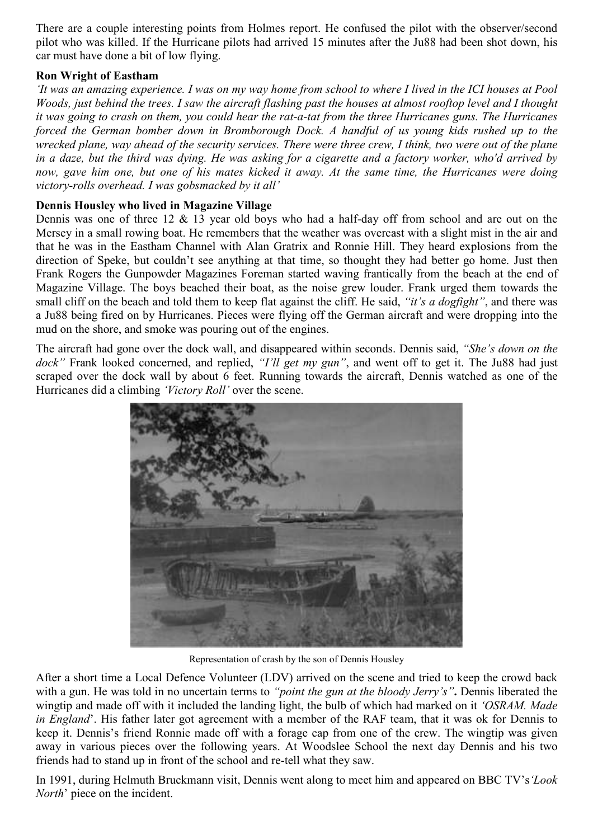There are a couple interesting points from Holmes report. He confused the pilot with the observer/second pilot who was killed. If the Hurricane pilots had arrived 15 minutes after the Ju88 had been shot down, his car must have done a bit of low flying.

## Ron Wright of Eastham

'It was an amazing experience. I was on my way home from school to where I lived in the ICI houses at Pool Woods, just behind the trees. I saw the aircraft flashing past the houses at almost rooftop level and I thought it was going to crash on them, you could hear the rat-a-tat from the three Hurricanes guns. The Hurricanes forced the German bomber down in Bromborough Dock. A handful of us young kids rushed up to the wrecked plane, way ahead of the security services. There were three crew, I think, two were out of the plane in a daze, but the third was dying. He was asking for a cigarette and a factory worker, who'd arrived by now, gave him one, but one of his mates kicked it away. At the same time, the Hurricanes were doing victory-rolls overhead. I was gobsmacked by it all'

# Dennis Housley who lived in Magazine Village

Dennis was one of three 12 & 13 year old boys who had a half-day off from school and are out on the Mersey in a small rowing boat. He remembers that the weather was overcast with a slight mist in the air and that he was in the Eastham Channel with Alan Gratrix and Ronnie Hill. They heard explosions from the direction of Speke, but couldn't see anything at that time, so thought they had better go home. Just then Frank Rogers the Gunpowder Magazines Foreman started waving frantically from the beach at the end of Magazine Village. The boys beached their boat, as the noise grew louder. Frank urged them towards the small cliff on the beach and told them to keep flat against the cliff. He said, "it's a dogfight", and there was a Ju88 being fired on by Hurricanes. Pieces were flying off the German aircraft and were dropping into the mud on the shore, and smoke was pouring out of the engines.

The aircraft had gone over the dock wall, and disappeared within seconds. Dennis said, "She's down on the dock" Frank looked concerned, and replied, "I'll get my gun", and went off to get it. The Ju88 had just scraped over the dock wall by about 6 feet. Running towards the aircraft, Dennis watched as one of the Hurricanes did a climbing 'Victory Roll' over the scene.



Representation of crash by the son of Dennis Housley

After a short time a Local Defence Volunteer (LDV) arrived on the scene and tried to keep the crowd back with a gun. He was told in no uncertain terms to "*point the gun at the bloody Jerry's*". Dennis liberated the wingtip and made off with it included the landing light, the bulb of which had marked on it 'OSRAM. Made in England'. His father later got agreement with a member of the RAF team, that it was ok for Dennis to keep it. Dennis's friend Ronnie made off with a forage cap from one of the crew. The wingtip was given away in various pieces over the following years. At Woodslee School the next day Dennis and his two friends had to stand up in front of the school and re-tell what they saw.

In 1991, during Helmuth Bruckmann visit. Dennis went along to meet him and appeared on BBC TV's *Look* North' piece on the incident.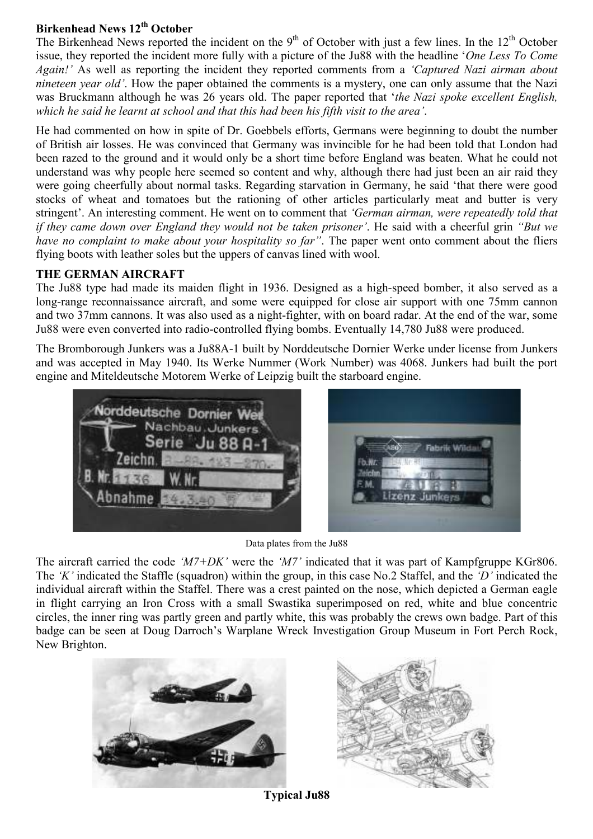# Birkenhead News  $12<sup>th</sup>$  October

The Birkenhead News reported the incident on the 9<sup>th</sup> of October with just a few lines. In the  $12<sup>th</sup>$  October issue, they reported the incident more fully with a picture of the Ju88 with the headline 'One Less To Come Again!' As well as reporting the incident they reported comments from a 'Captured Nazi airman about nineteen year old'. How the paper obtained the comments is a mystery, one can only assume that the Nazi was Bruckmann although he was 26 years old. The paper reported that 'the Nazi spoke excellent English, which he said he learnt at school and that this had been his fifth visit to the area'.

He had commented on how in spite of Dr. Goebbels efforts, Germans were beginning to doubt the number of British air losses. He was convinced that Germany was invincible for he had been told that London had been razed to the ground and it would only be a short time before England was beaten. What he could not understand was why people here seemed so content and why, although there had just been an air raid they were going cheerfully about normal tasks. Regarding starvation in Germany, he said 'that there were good stocks of wheat and tomatoes but the rationing of other articles particularly meat and butter is very stringent'. An interesting comment. He went on to comment that 'German airman, were repeatedly told that if they came down over England they would not be taken prisoner'. He said with a cheerful grin "But we have no complaint to make about your hospitality so far". The paper went onto comment about the fliers flying boots with leather soles but the uppers of canvas lined with wool.

## THE GERMAN AIRCRAFT

The Ju88 type had made its maiden flight in 1936. Designed as a high-speed bomber, it also served as a long-range reconnaissance aircraft, and some were equipped for close air support with one 75mm cannon and two 37mm cannons. It was also used as a night-fighter, with on board radar. At the end of the war, some Ju88 were even converted into radio-controlled flying bombs. Eventually 14,780 Ju88 were produced.

The Bromborough Junkers was a Ju88A-1 built by Norddeutsche Dornier Werke under license from Junkers and was accepted in May 1940. Its Werke Nummer (Work Number) was 4068. Junkers had built the port engine and Miteldeutsche Motorem Werke of Leipzig built the starboard engine.



Data plates from the Ju88

The aircraft carried the code ' $M7+DK$ ' were the ' $M7$ ' indicated that it was part of Kampfgruppe KGr806. The 'K' indicated the Staffle (squadron) within the group, in this case No.2 Staffel, and the 'D' indicated the individual aircraft within the Staffel. There was a crest painted on the nose, which depicted a German eagle in flight carrying an Iron Cross with a small Swastika superimposed on red, white and blue concentric circles, the inner ring was partly green and partly white, this was probably the crews own badge. Part of this badge can be seen at Doug Darroch's Warplane Wreck Investigation Group Museum in Fort Perch Rock, New Brighton.





Typical Ju88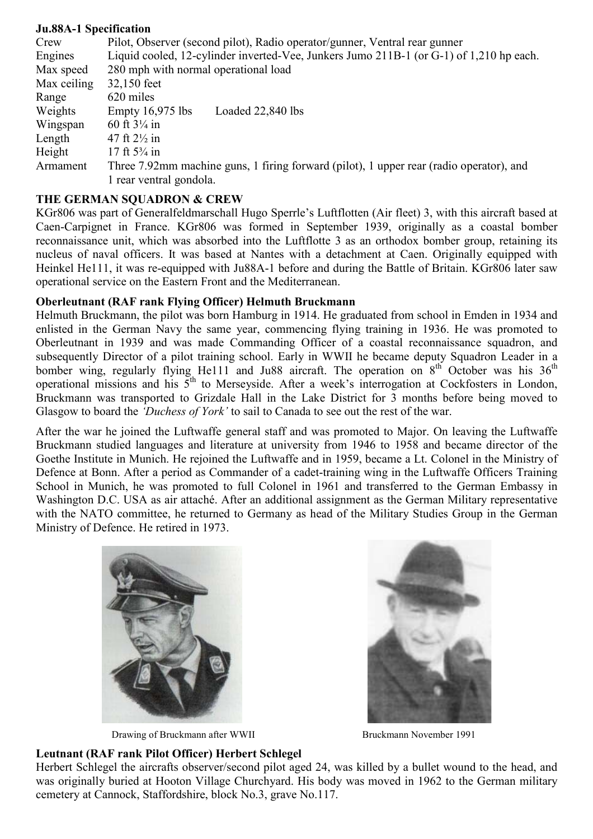#### Ju.88A-1 Specification

| Crew        | Pilot, Observer (second pilot), Radio operator/gunner, Ventral rear gunner              |
|-------------|-----------------------------------------------------------------------------------------|
| Engines     | Liquid cooled, 12-cylinder inverted-Vee, Junkers Jumo 211B-1 (or G-1) of 1,210 hp each. |
| Max speed   | 280 mph with normal operational load                                                    |
| Max ceiling | 32,150 feet                                                                             |
| Range       | 620 miles                                                                               |
| Weights     | Loaded 22,840 lbs<br>Empty $16,975$ lbs                                                 |
| Wingspan    | 60 ft $3\frac{1}{4}$ in                                                                 |
| Length      | 47 ft $2\frac{1}{2}$ in                                                                 |
| Height      | 17 ft $5\frac{3}{4}$ in                                                                 |
| Armament    | Three 7.92mm machine guns, 1 firing forward (pilot), 1 upper rear (radio operator), and |
|             | 1 rear ventral gondola.                                                                 |

## THE GERMAN SOUADRON & CREW

KGr806 was part of Generalfeldmarschall Hugo Sperrle's Luftflotten (Air fleet) 3, with this aircraft based at Caen-Carpignet in France. KGr806 was formed in September 1939, originally as a coastal bomber reconnaissance unit, which was absorbed into the Luftflotte 3 as an orthodox bomber group, retaining its nucleus of naval officers. It was based at Nantes with a detachment at Caen. Originally equipped with Heinkel He111, it was re-equipped with Ju88A-1 before and during the Battle of Britain. KGr806 later saw operational service on the Eastern Front and the Mediterranean.

## Oberleutnant (RAF rank Flying Officer) Helmuth Bruckmann

Helmuth Bruckmann, the pilot was born Hamburg in 1914. He graduated from school in Emden in 1934 and enlisted in the German Navy the same year, commencing flying training in 1936. He was promoted to Oberleutnant in 1939 and was made Commanding Officer of a coastal reconnaissance squadron, and subsequently Director of a pilot training school. Early in WWII he became deputy Squadron Leader in a bomber wing, regularly flying He111 and Ju88 aircraft. The operation on  $8<sup>th</sup>$  October was his  $36<sup>th</sup>$ operational missions and his 5th to Merseyside. After a week's interrogation at Cockfosters in London, Bruckmann was transported to Grizdale Hall in the Lake District for 3 months before being moved to Glasgow to board the *'Duchess of York'* to sail to Canada to see out the rest of the war.

After the war he joined the Luftwaffe general staff and was promoted to Major. On leaving the Luftwaffe Bruckmann studied languages and literature at university from 1946 to 1958 and became director of the Goethe Institute in Munich. He rejoined the Luftwaffe and in 1959, became a Lt. Colonel in the Ministry of Defence at Bonn. After a period as Commander of a cadet-training wing in the Luftwaffe Officers Training School in Munich, he was promoted to full Colonel in 1961 and transferred to the German Embassy in Washington D.C. USA as air attaché. After an additional assignment as the German Military representative with the NATO committee, he returned to Germany as head of the Military Studies Group in the German Ministry of Defence. He retired in 1973.



Drawing of Bruckmann after WWII Bruckmann November 1991



## Leutnant (RAF rank Pilot Officer) Herbert Schlegel

Herbert Schlegel the aircrafts observer/second pilot aged 24, was killed by a bullet wound to the head, and was originally buried at Hooton Village Churchyard. His body was moved in 1962 to the German military cemetery at Cannock, Staffordshire, block No.3, grave No.117.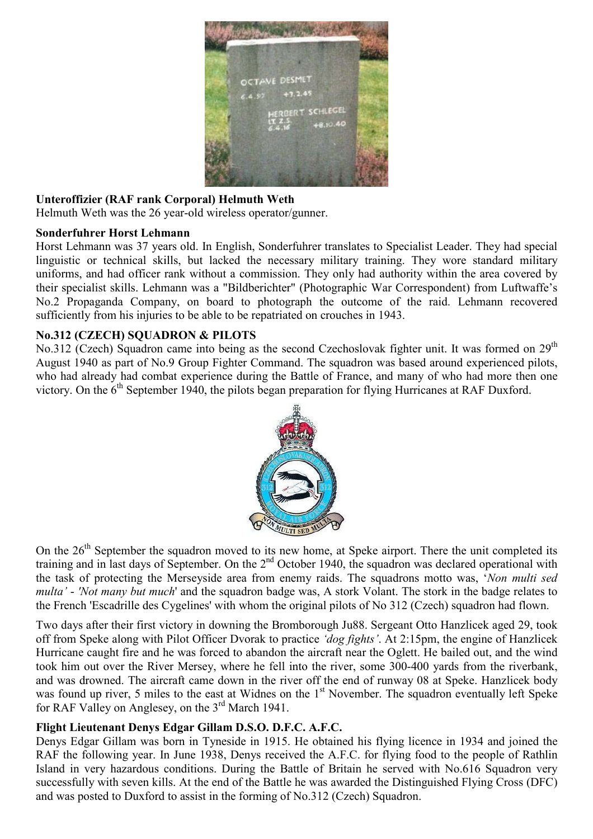

## Unteroffizier (RAF rank Corporal) Helmuth Weth

Helmuth Weth was the 26 year-old wireless operator/gunner.

#### Sonderfuhrer Horst Lehmann

Horst Lehmann was 37 years old. In English, Sonderfuhrer translates to Specialist Leader. They had special linguistic or technical skills, but lacked the necessary military training. They wore standard military uniforms, and had officer rank without a commission. They only had authority within the area covered by their specialist skills. Lehmann was a "Bildberichter" (Photographic War Correspondent) from Luftwaffe's No.2 Propaganda Company, on board to photograph the outcome of the raid. Lehmann recovered sufficiently from his injuries to be able to be repatriated on crouches in 1943.

## No.312 (CZECH) SOUADRON & PILOTS

No.312 (Czech) Squadron came into being as the second Czechoslovak fighter unit. It was formed on 29<sup>th</sup> August 1940 as part of No.9 Group Fighter Command. The squadron was based around experienced pilots, who had already had combat experience during the Battle of France, and many of who had more then one victory. On the 6<sup>th</sup> September 1940, the pilots began preparation for flying Hurricanes at RAF Duxford.



On the  $26<sup>th</sup>$  September the squadron moved to its new home, at Speke airport. There the unit completed its training and in last days of September. On the  $2<sup>nd</sup>$  October 1940, the squadron was declared operational with the task of protecting the Merseyside area from enemy raids. The squadrons motto was, 'Non multi sed multa' - 'Not many but much' and the squadron badge was, A stork Volant. The stork in the badge relates to the French 'Escadrille des Cygelines' with whom the original pilots of No 312 (Czech) squadron had flown.

Two days after their first victory in downing the Bromborough Ju88. Sergeant Otto Hanzlicek aged 29, took off from Speke along with Pilot Officer Dvorak to practice 'dog fights'. At 2:15pm, the engine of Hanzlicek Hurricane caught fire and he was forced to abandon the aircraft near the Oglett. He bailed out, and the wind took him out over the River Mersey, where he fell into the river, some 300-400 yards from the riverbank, and was drowned. The aircraft came down in the river off the end of runway 08 at Speke. Hanzlicek body was found up river, 5 miles to the east at Widnes on the 1<sup>st</sup> November. The squadron eventually left Speke for RAF Valley on Anglesey, on the 3<sup>rd</sup> March 1941.

# Flight Lieutenant Denys Edgar Gillam D.S.O. D.F.C. A.F.C.

Denys Edgar Gillam was born in Tyneside in 1915. He obtained his flying licence in 1934 and joined the RAF the following year. In June 1938, Denys received the A.F.C. for flying food to the people of Rathlin Island in very hazardous conditions. During the Battle of Britain he served with No.616 Squadron very successfully with seven kills. At the end of the Battle he was awarded the Distinguished Flying Cross (DFC) and was posted to Duxford to assist in the forming of No.312 (Czech) Squadron.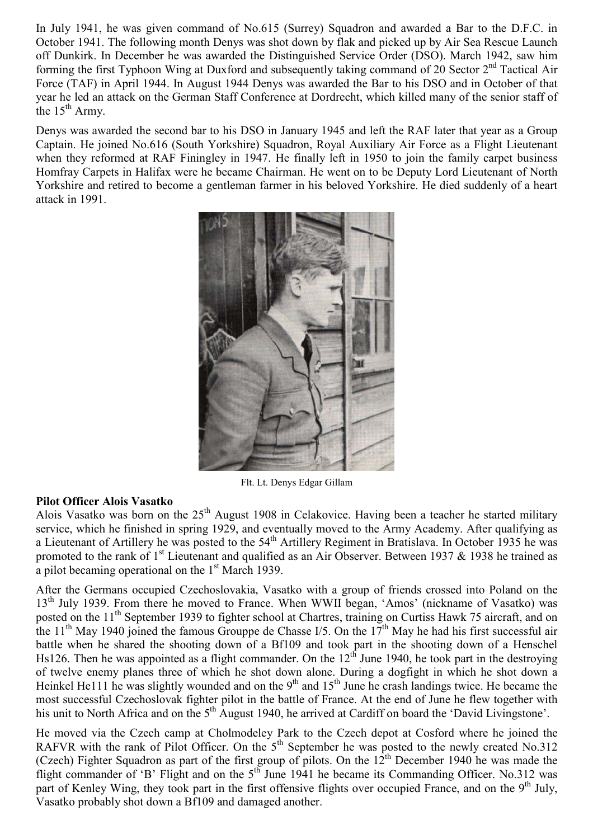In July 1941, he was given command of No.615 (Surrey) Squadron and awarded a Bar to the D.F.C. in October 1941. The following month Denys was shot down by flak and picked up by Air Sea Rescue Launch off Dunkirk. In December he was awarded the Distinguished Service Order (DSO). March 1942, saw him forming the first Typhoon Wing at Duxford and subsequently taking command of 20 Sector 2<sup>nd</sup> Tactical Air Force (TAF) in April 1944. In August 1944 Denys was awarded the Bar to his DSO and in October of that year he led an attack on the German Staff Conference at Dordrecht, which killed many of the senior staff of the  $15<sup>th</sup>$  Army.

Denys was awarded the second bar to his DSO in January 1945 and left the RAF later that year as a Group Captain. He joined No.616 (South Yorkshire) Squadron, Royal Auxiliary Air Force as a Flight Lieutenant when they reformed at RAF Finingley in 1947. He finally left in 1950 to join the family carpet business Homfray Carpets in Halifax were he became Chairman. He went on to be Deputy Lord Lieutenant of North Yorkshire and retired to become a gentleman farmer in his beloved Yorkshire. He died suddenly of a heart attack in 1991.



Flt. Lt. Denys Edgar Gillam

## Pilot Officer Alois Vasatko

Alois Vasatko was born on the 25<sup>th</sup> August 1908 in Celakovice. Having been a teacher he started military service, which he finished in spring 1929, and eventually moved to the Army Academy. After qualifying as a Lieutenant of Artillery he was posted to the  $54<sup>th</sup>$  Artillery Regiment in Bratislava. In October 1935 he was promoted to the rank of  $1<sup>st</sup>$  Lieutenant and qualified as an Air Observer. Between 1937 & 1938 he trained as a pilot becaming operational on the  $1<sup>st</sup>$  March 1939.

After the Germans occupied Czechoslovakia, Vasatko with a group of friends crossed into Poland on the 13<sup>th</sup> July 1939. From there he moved to France. When WWII began, 'Amos' (nickname of Vasatko) was posted on the 11<sup>th</sup> September 1939 to fighter school at Chartres, training on Curtiss Hawk 75 aircraft, and on the 11<sup>th</sup> May 1940 joined the famous Grouppe de Chasse I/5. On the  $17<sup>th</sup>$  May he had his first successful air battle when he shared the shooting down of a Bf109 and took part in the shooting down of a Henschel Hs126. Then he was appointed as a flight commander. On the  $12<sup>th</sup>$  June 1940, he took part in the destroying of twelve enemy planes three of which he shot down alone. During a dogfight in which he shot down a Heinkel He111 he was slightly wounded and on the 9<sup>th</sup> and 15<sup>th</sup> June he crash landings twice. He became the most successful Czechoslovak fighter pilot in the battle of France. At the end of June he flew together with his unit to North Africa and on the 5<sup>th</sup> August 1940, he arrived at Cardiff on board the 'David Livingstone'.

He moved via the Czech camp at Cholmodeley Park to the Czech depot at Cosford where he joined the RAFVR with the rank of Pilot Officer. On the  $5<sup>th</sup>$  September he was posted to the newly created No.312 (Czech) Fighter Squadron as part of the first group of pilots. On the 12<sup>th</sup> December 1940 he was made the flight commander of 'B' Flight and on the 5<sup>th</sup> June 1941 he became its Commanding Officer. No.312 was part of Kenley Wing, they took part in the first offensive flights over occupied France, and on the  $9<sup>th</sup>$  July, Vasatko probably shot down a Bf109 and damaged another.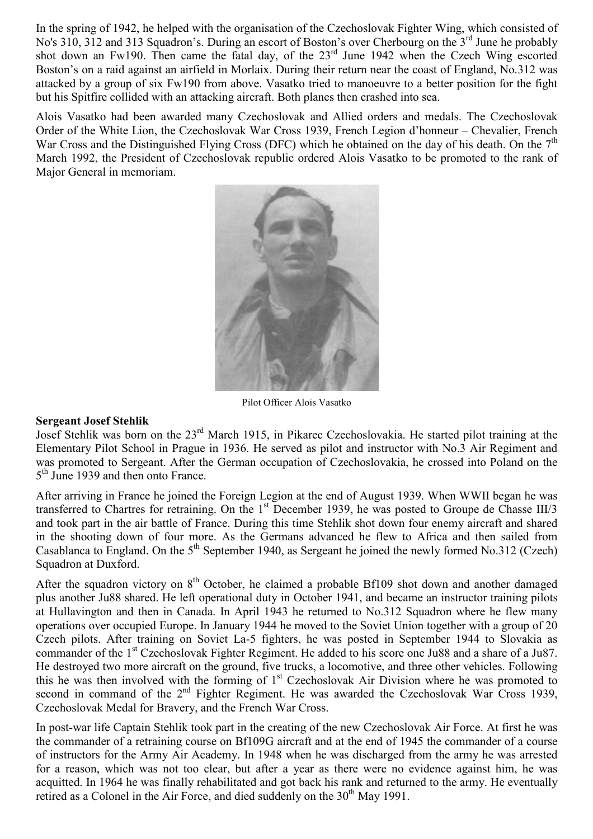In the spring of 1942, he helped with the organisation of the Czechoslovak Fighter Wing, which consisted of No's 310, 312 and 313 Squadron's. During an escort of Boston's over Cherbourg on the 3<sup>rd</sup> June he probably shot down an Fw190. Then came the fatal day, of the  $23<sup>rd</sup>$  June 1942 when the Czech Wing escorted Boston's on a raid against an airfield in Morlaix. During their return near the coast of England, No.312 was attacked by a group of six Fw190 from above. Vasatko tried to manoeuvre to a better position for the fight but his Spitfire collided with an attacking aircraft. Both planes then crashed into sea.

Alois Vasatko had been awarded many Czechoslovak and Allied orders and medals. The Czechoslovak Order of the White Lion, the Czechoslovak War Cross 1939, French Legion d'honneur – Chevalier, French War Cross and the Distinguished Flying Cross (DFC) which he obtained on the day of his death. On the  $7<sup>th</sup>$ March 1992, the President of Czechoslovak republic ordered Alois Vasatko to be promoted to the rank of Major General in memoriam.



Pilot Officer Alois Vasatko

#### Sergeant Josef Stehlik

Josef Stehlik was born on the 23rd March 1915, in Pikarec Czechoslovakia. He started pilot training at the Elementary Pilot School in Prague in 1936. He served as pilot and instructor with No.3 Air Regiment and was promoted to Sergeant. After the German occupation of Czechoslovakia, he crossed into Poland on the 5<sup>th</sup> June 1939 and then onto France.

After arriving in France he joined the Foreign Legion at the end of August 1939. When WWII began he was transferred to Chartres for retraining. On the 1<sup>st</sup> December 1939, he was posted to Groupe de Chasse III/3 and took part in the air battle of France. During this time Stehlik shot down four enemy aircraft and shared in the shooting down of four more. As the Germans advanced he flew to Africa and then sailed from Casablanca to England. On the 5<sup>th</sup> September 1940, as Sergeant he joined the newly formed No.312 (Czech) Squadron at Duxford.

After the squadron victory on 8<sup>th</sup> October, he claimed a probable Bf109 shot down and another damaged plus another Ju88 shared. He left operational duty in October 1941, and became an instructor training pilots at Hullavington and then in Canada. In April 1943 he returned to No.312 Squadron where he flew many operations over occupied Europe. In January 1944 he moved to the Soviet Union together with a group of 20 Czech pilots. After training on Soviet La-5 fighters, he was posted in September 1944 to Slovakia as commander of the 1<sup>st</sup> Czechoslovak Fighter Regiment. He added to his score one Ju88 and a share of a Ju87. He destroyed two more aircraft on the ground, five trucks, a locomotive, and three other vehicles. Following this he was then involved with the forming of  $1<sup>st</sup>$  Czechoslovak Air Division where he was promoted to second in command of the  $2<sup>nd</sup>$  Fighter Regiment. He was awarded the Czechoslovak War Cross 1939, Czechoslovak Medal for Bravery, and the French War Cross.

In post-war life Captain Stehlik took part in the creating of the new Czechoslovak Air Force. At first he was the commander of a retraining course on Bf109G aircraft and at the end of 1945 the commander of a course of instructors for the Army Air Academy. In 1948 when he was discharged from the army he was arrested for a reason, which was not too clear, but after a year as there were no evidence against him, he was acquitted. In 1964 he was finally rehabilitated and got back his rank and returned to the army. He eventually retired as a Colonel in the Air Force, and died suddenly on the  $30<sup>th</sup>$  May 1991.